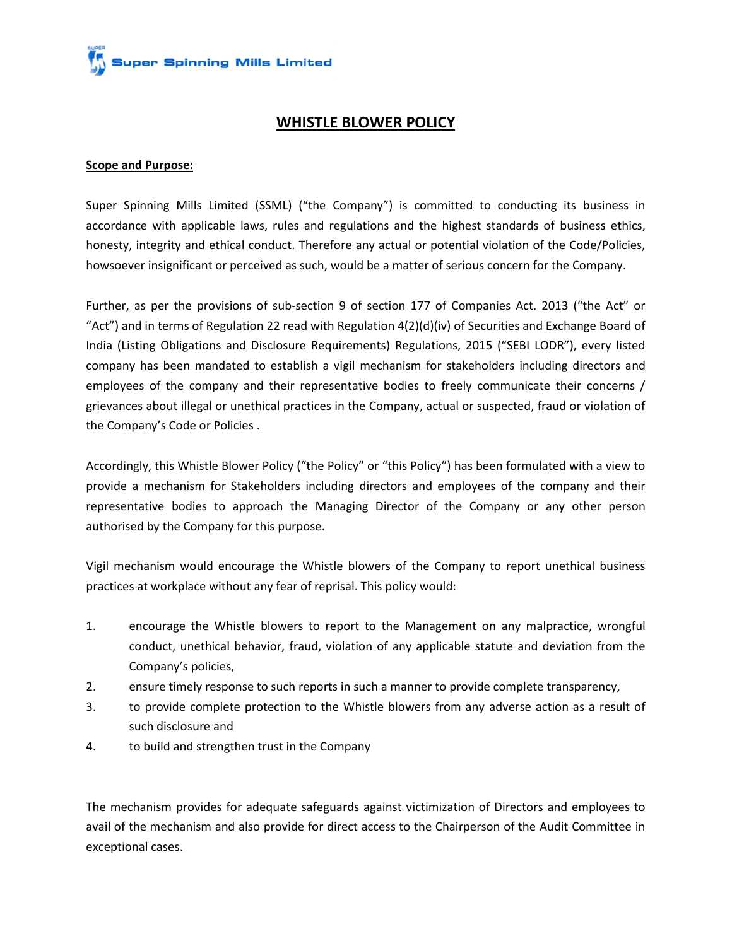**Super Spinning Mills Limited** 

### **WHISTLE BLOWER POLICY**

### **Scope and Purpose:**

Super Spinning Mills Limited (SSML) ("the Company") is committed to conducting its business in accordance with applicable laws, rules and regulations and the highest standards of business ethics, honesty, integrity and ethical conduct. Therefore any actual or potential violation of the Code/Policies, howsoever insignificant or perceived as such, would be a matter of serious concern for the Company.

Further, as per the provisions of sub-section 9 of section 177 of Companies Act. 2013 ("the Act" or "Act") and in terms of Regulation 22 read with Regulation 4(2)(d)(iv) of Securities and Exchange Board of India (Listing Obligations and Disclosure Requirements) Regulations, 2015 ("SEBI LODR"), every listed company has been mandated to establish a vigil mechanism for stakeholders including directors and employees of the company and their representative bodies to freely communicate their concerns / grievances about illegal or unethical practices in the Company, actual or suspected, fraud or violation of the Company's Code or Policies .

Accordingly, this Whistle Blower Policy ("the Policy" or "this Policy") has been formulated with a view to provide a mechanism for Stakeholders including directors and employees of the company and their representative bodies to approach the Managing Director of the Company or any other person authorised by the Company for this purpose.

Vigil mechanism would encourage the Whistle blowers of the Company to report unethical business practices at workplace without any fear of reprisal. This policy would:

- 1. encourage the Whistle blowers to report to the Management on any malpractice, wrongful conduct, unethical behavior, fraud, violation of any applicable statute and deviation from the Company's policies,
- 2. ensure timely response to such reports in such a manner to provide complete transparency,
- 3. to provide complete protection to the Whistle blowers from any adverse action as a result of such disclosure and
- 4. to build and strengthen trust in the Company

The mechanism provides for adequate safeguards against victimization of Directors and employees to avail of the mechanism and also provide for direct access to the Chairperson of the Audit Committee in exceptional cases.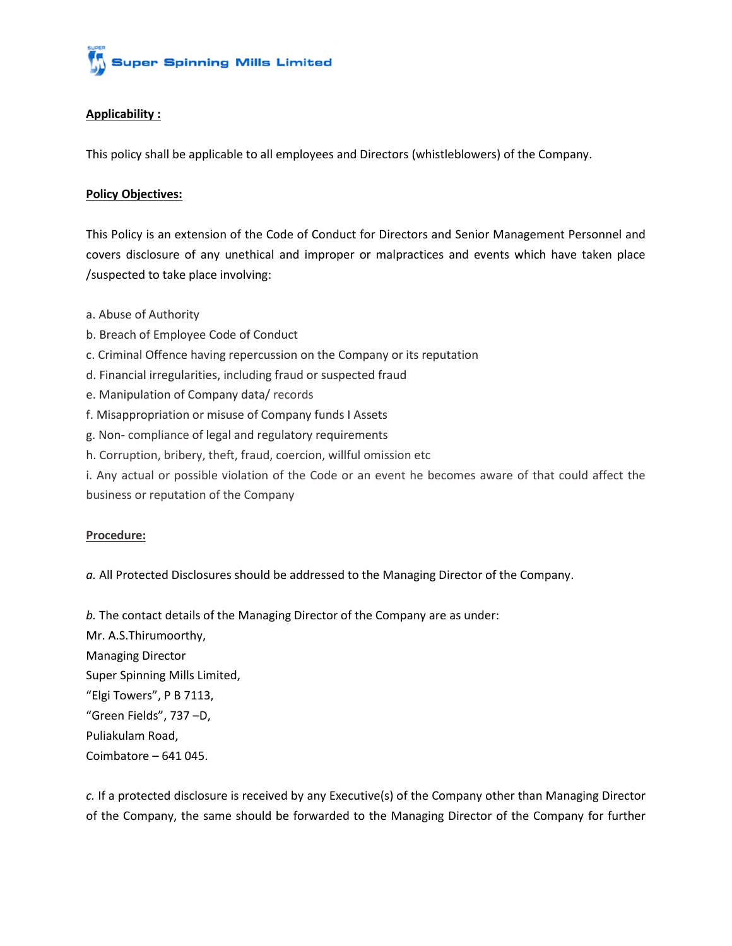

### **Applicability :**

This policy shall be applicable to all employees and Directors (whistleblowers) of the Company.

### **Policy Objectives:**

This Policy is an extension of the Code of Conduct for Directors and Senior Management Personnel and covers disclosure of any unethical and improper or malpractices and events which have taken place /suspected to take place involving:

- a. Abuse of Authority
- b. Breach of Employee Code of Conduct
- c. Criminal Offence having repercussion on the Company or its reputation
- d. Financial irregularities, including fraud or suspected fraud
- e. Manipulation of Company data/ records
- f. Misappropriation or misuse of Company funds I Assets
- g. Non- compliance of legal and regulatory requirements
- h. Corruption, bribery, theft, fraud, coercion, willful omission etc
- i. Any actual or possible violation of the Code or an event he becomes aware of that could affect the business or reputation of the Company

#### **Procedure:**

*a.* All Protected Disclosures should be addressed to the Managing Director of the Company.

*b.* The contact details of the Managing Director of the Company are as under:

Mr. A.S.Thirumoorthy, Managing Director Super Spinning Mills Limited, "Elgi Towers", P B 7113, "Green Fields", 737 –D, Puliakulam Road, Coimbatore – 641 045.

*c.* If a protected disclosure is received by any Executive(s) of the Company other than Managing Director of the Company, the same should be forwarded to the Managing Director of the Company for further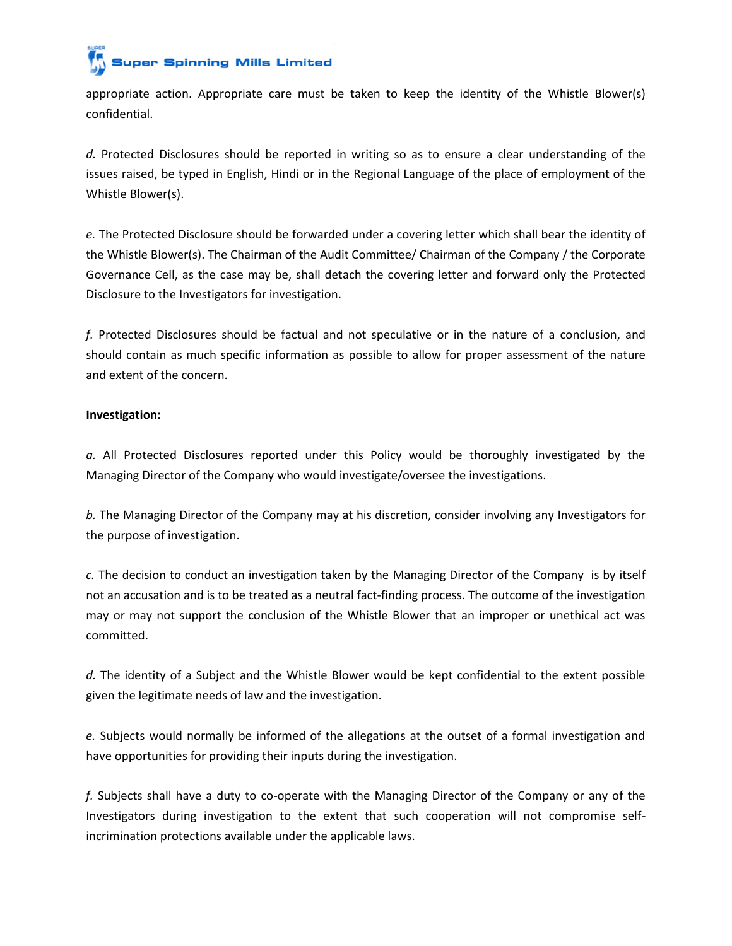## **Super Spinning Mills Limited**

appropriate action. Appropriate care must be taken to keep the identity of the Whistle Blower(s) confidential.

*d.* Protected Disclosures should be reported in writing so as to ensure a clear understanding of the issues raised, be typed in English, Hindi or in the Regional Language of the place of employment of the Whistle Blower(s).

*e.* The Protected Disclosure should be forwarded under a covering letter which shall bear the identity of the Whistle Blower(s). The Chairman of the Audit Committee/ Chairman of the Company / the Corporate Governance Cell, as the case may be, shall detach the covering letter and forward only the Protected Disclosure to the Investigators for investigation.

*f.* Protected Disclosures should be factual and not speculative or in the nature of a conclusion, and should contain as much specific information as possible to allow for proper assessment of the nature and extent of the concern.

### **Investigation:**

*a.* All Protected Disclosures reported under this Policy would be thoroughly investigated by the Managing Director of the Company who would investigate/oversee the investigations.

*b.* The Managing Director of the Company may at his discretion, consider involving any Investigators for the purpose of investigation.

*c.* The decision to conduct an investigation taken by the Managing Director of the Company is by itself not an accusation and is to be treated as a neutral fact-finding process. The outcome of the investigation may or may not support the conclusion of the Whistle Blower that an improper or unethical act was committed.

*d.* The identity of a Subject and the Whistle Blower would be kept confidential to the extent possible given the legitimate needs of law and the investigation.

*e.* Subjects would normally be informed of the allegations at the outset of a formal investigation and have opportunities for providing their inputs during the investigation.

*f.* Subjects shall have a duty to co-operate with the Managing Director of the Company or any of the Investigators during investigation to the extent that such cooperation will not compromise selfincrimination protections available under the applicable laws.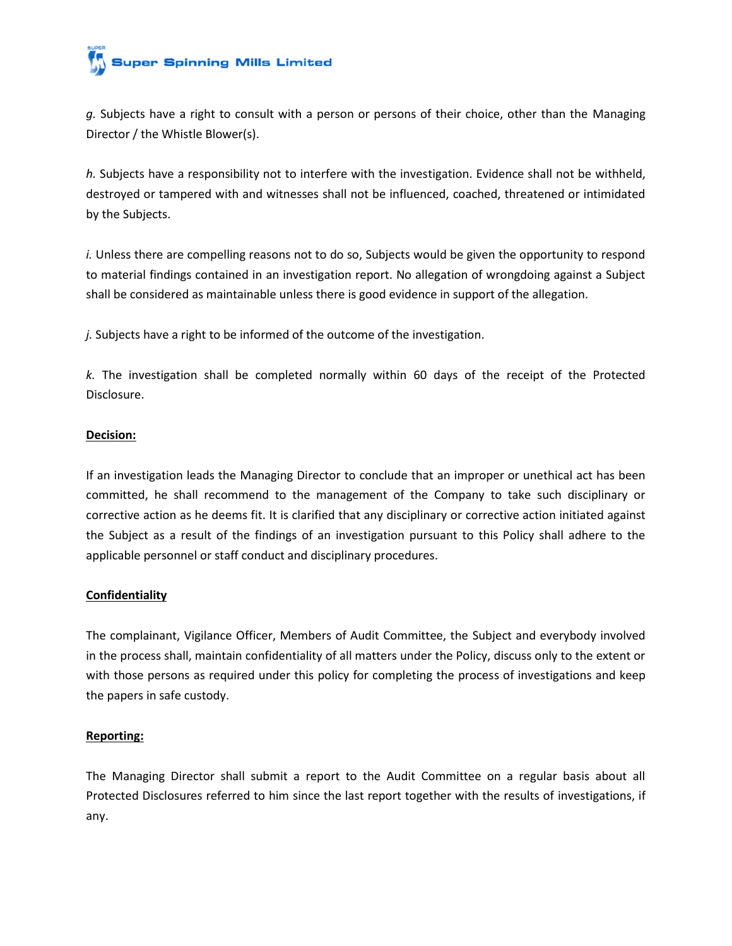# **Super Spinning Mills Limited**

*g.* Subjects have a right to consult with a person or persons of their choice, other than the Managing Director / the Whistle Blower(s).

*h.* Subjects have a responsibility not to interfere with the investigation. Evidence shall not be withheld, destroyed or tampered with and witnesses shall not be influenced, coached, threatened or intimidated by the Subjects.

*i.* Unless there are compelling reasons not to do so, Subjects would be given the opportunity to respond to material findings contained in an investigation report. No allegation of wrongdoing against a Subject shall be considered as maintainable unless there is good evidence in support of the allegation.

*j.* Subjects have a right to be informed of the outcome of the investigation.

*k.* The investigation shall be completed normally within 60 days of the receipt of the Protected Disclosure.

### **Decision:**

If an investigation leads the Managing Director to conclude that an improper or unethical act has been committed, he shall recommend to the management of the Company to take such disciplinary or corrective action as he deems fit. It is clarified that any disciplinary or corrective action initiated against the Subject as a result of the findings of an investigation pursuant to this Policy shall adhere to the applicable personnel or staff conduct and disciplinary procedures.

### **Confidentiality**

The complainant, Vigilance Officer, Members of Audit Committee, the Subject and everybody involved in the process shall, maintain confidentiality of all matters under the Policy, discuss only to the extent or with those persons as required under this policy for completing the process of investigations and keep the papers in safe custody.

### **Reporting:**

The Managing Director shall submit a report to the Audit Committee on a regular basis about all Protected Disclosures referred to him since the last report together with the results of investigations, if any.